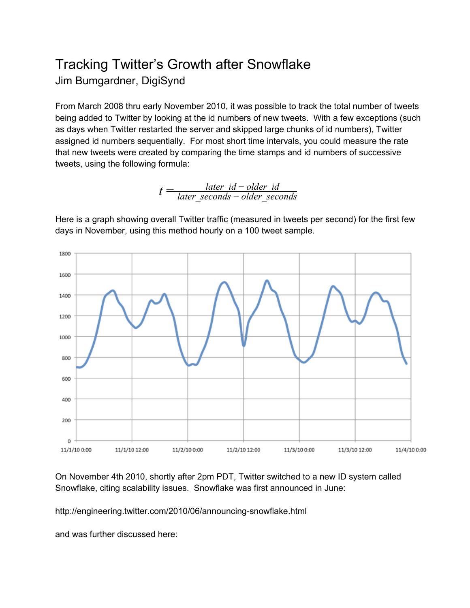## Tracking Twitter's Growth after Snowflake Jim Bumgardner, DigiSynd

From March 2008 thru early November 2010, it was possible to track the total number of tweets being added to Twitter by looking at the id numbers of new tweets. With a few exceptions (such as days when Twitter restarted the server and skipped large chunks of id numbers), Twitter assigned id numbers sequentially. For most short time intervals, you could measure the rate that new tweets were created by comparing the time stamps and id numbers of successive tweets, using the following formula:

> $t = \frac{later\_id - older\_id}{later\_seconds - older\_sec}$ *later*\_*seconds* − *older*\_*seconds*

Here is a graph showing overall Twitter traffic (measured in tweets per second) for the first few days in November, using this method hourly on a 100 tweet sample.



On November 4th 2010, shortly after 2pm PDT, Twitter switched to a new ID system called Snowflake, citing scalability issues. Snowflake was first announced in June:

http://engineering.twitter.com/2010/06/announcing-snowflake.html

and was further discussed here: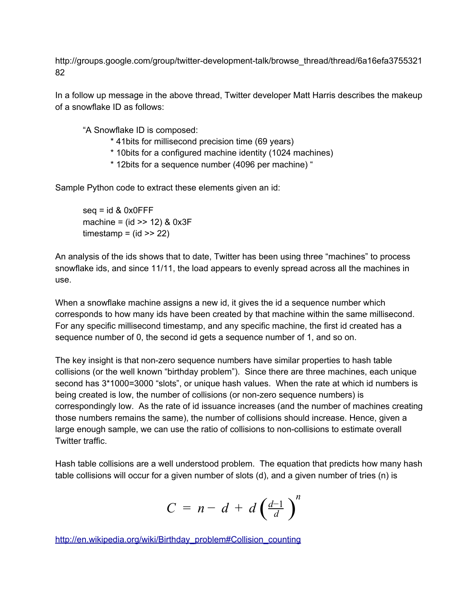http://groups.google.com/group/twitter-development-talk/browse\_thread/thread/6a16efa3755321 82

In a follow up message in the above thread, Twitter developer Matt Harris describes the makeup of a snowflake ID as follows:

"A Snowflake ID is composed:

- \* 41bits for millisecond precision time (69 years)
- \* 10bits for a configured machine identity (1024 machines)
- \* 12bits for a sequence number (4096 per machine) "

Sample Python code to extract these elements given an id:

 $seq = id 8 0x0$ FFF machine =  $(id \gg 12)$  &  $0x3F$ timestamp =  $(id \gg 22)$ 

An analysis of the ids shows that to date, Twitter has been using three "machines" to process snowflake ids, and since 11/11, the load appears to evenly spread across all the machines in use.

When a snowflake machine assigns a new id, it gives the id a sequence number which corresponds to how many ids have been created by that machine within the same millisecond. For any specific millisecond timestamp, and any specific machine, the first id created has a sequence number of 0, the second id gets a sequence number of 1, and so on.

The key insight is that non-zero sequence numbers have similar properties to hash table collisions (or the well known "birthday problem"). Since there are three machines, each unique second has 3\*1000=3000 "slots", or unique hash values. When the rate at which id numbers is being created is low, the number of collisions (or nonzero sequence numbers) is correspondingly low. As the rate of id issuance increases (and the number of machines creating those numbers remains the same), the number of collisions should increase. Hence, given a large enough sample, we can use the ratio of collisions to non-collisions to estimate overall Twitter traffic.

Hash table collisions are a well understood problem. The equation that predicts how many hash table collisions will occur for a given number of slots (d), and a given number of tries (n) is

$$
C = n - d + d \left( \frac{d-1}{d} \right)^n
$$

[http://en.wikipedia.org/wiki/Birthday\\_problem#Collision\\_counting](http://www.google.com/url?q=http%3A%2F%2Fen.wikipedia.org%2Fwiki%2FBirthday_problem%23Collision_counting&sa=D&sntz=1&usg=AFQjCNGWwu0CQI6Wn1rubTTYTUOuaDKNKA)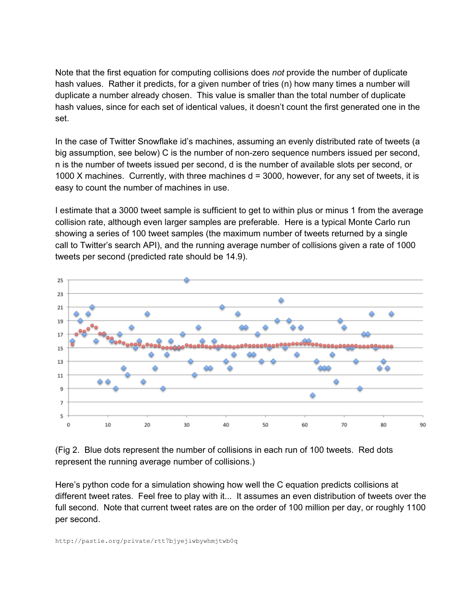Note that the first equation for computing collisions does *not* provide the number of duplicate hash values. Rather it predicts, for a given number of tries (n) how many times a number will duplicate a number already chosen. This value is smaller than the total number of duplicate hash values, since for each set of identical values, it doesn't count the first generated one in the set.

In the case of Twitter Snowflake id's machines, assuming an evenly distributed rate of tweets (a big assumption, see below) C is the number of nonzero sequence numbers issued per second, n is the number of tweets issued per second, d is the number of available slots per second, or 1000 X machines. Currently, with three machines  $d = 3000$ , however, for any set of tweets, it is easy to count the number of machines in use.

I estimate that a 3000 tweet sample is sufficient to get to within plus or minus 1 from the average collision rate, although even larger samples are preferable. Here is a typical Monte Carlo run showing a series of 100 tweet samples (the maximum number of tweets returned by a single call to Twitter's search API), and the running average number of collisions given a rate of 1000 tweets per second (predicted rate should be 14.9).



(Fig 2. Blue dots represent the number of collisions in each run of 100 tweets. Red dots represent the running average number of collisions.)

Here's python code for a simulation showing how well the C equation predicts collisions at different tweet rates. Feel free to play with it... It assumes an even distribution of tweets over the full second. Note that current tweet rates are on the order of 100 million per day, or roughly 1100 per second.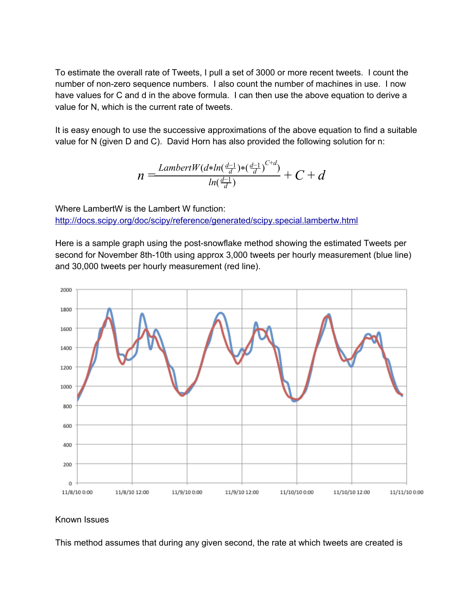To estimate the overall rate of Tweets, I pull a set of 3000 or more recent tweets. I count the number of non-zero sequence numbers. I also count the number of machines in use. I now have values for C and d in the above formula. I can then use the above equation to derive a value for N, which is the current rate of tweets.

It is easy enough to use the successive approximations of the above equation to find a suitable value for N (given D and C). David Horn has also provided the following solution for n:

$$
n = \frac{LambertW(d*ln(\frac{d-1}{d}) * (\frac{d-1}{d})^{C+d})}{ln(\frac{d-1}{d})} + C + d
$$

Where LambertW is the Lambert W function: [http://docs.scipy.org/doc/scipy/reference/generated/scipy.special.lambertw.html](http://www.google.com/url?q=http%3A%2F%2Fdocs.scipy.org%2Fdoc%2Fscipy%2Freference%2Fgenerated%2Fscipy.special.lambertw.html&sa=D&sntz=1&usg=AFQjCNE7yKDD_HeucdJa3F0iHT4wuINc2A)

Here is a sample graph using the post-snowflake method showing the estimated Tweets per second for November 8th-10th using approx 3,000 tweets per hourly measurement (blue line) and 30,000 tweets per hourly measurement (red line).



## Known Issues

This method assumes that during any given second, the rate at which tweets are created is